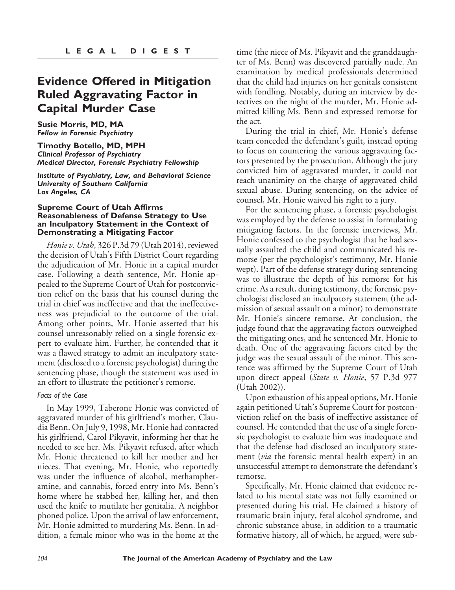## **Evidence Offered in Mitigation Ruled Aggravating Factor in Capital Murder Case**

**Susie Morris, MD, MA** *Fellow in Forensic Psychiatry*

**Timothy Botello, MD, MPH** *Clinical Professor of Psychiatry Medical Director, Forensic Psychiatry Fellowship*

*Institute of Psychiatry, Law, and Behavioral Science University of Southern California Los Angeles, CA*

#### **Supreme Court of Utah Affirms Reasonableness of Defense Strategy to Use an Inculpatory Statement in the Context of Demonstrating a Mitigating Factor**

*Honie v. Utah*, 326 P.3d 79 (Utah 2014), reviewed the decision of Utah's Fifth District Court regarding the adjudication of Mr. Honie in a capital murder case. Following a death sentence, Mr. Honie appealed to the Supreme Court of Utah for postconviction relief on the basis that his counsel during the trial in chief was ineffective and that the ineffectiveness was prejudicial to the outcome of the trial. Among other points, Mr. Honie asserted that his counsel unreasonably relied on a single forensic expert to evaluate him. Further, he contended that it was a flawed strategy to admit an inculpatory statement (disclosed to a forensic psychologist) during the sentencing phase, though the statement was used in an effort to illustrate the petitioner's remorse.

### *Facts of the Case*

In May 1999, Taberone Honie was convicted of aggravated murder of his girlfriend's mother, Claudia Benn. On July 9, 1998, Mr. Honie had contacted his girlfriend, Carol Pikyavit, informing her that he needed to see her. Ms. Pikyavit refused, after which Mr. Honie threatened to kill her mother and her nieces. That evening, Mr. Honie, who reportedly was under the influence of alcohol, methamphetamine, and cannabis, forced entry into Ms. Benn's home where he stabbed her, killing her, and then used the knife to mutilate her genitalia. A neighbor phoned police. Upon the arrival of law enforcement, Mr. Honie admitted to murdering Ms. Benn. In addition, a female minor who was in the home at the

time (the niece of Ms. Pikyavit and the granddaughter of Ms. Benn) was discovered partially nude. An examination by medical professionals determined that the child had injuries on her genitals consistent with fondling. Notably, during an interview by detectives on the night of the murder, Mr. Honie admitted killing Ms. Benn and expressed remorse for the act.

During the trial in chief, Mr. Honie's defense team conceded the defendant's guilt, instead opting to focus on countering the various aggravating factors presented by the prosecution. Although the jury convicted him of aggravated murder, it could not reach unanimity on the charge of aggravated child sexual abuse. During sentencing, on the advice of counsel, Mr. Honie waived his right to a jury.

For the sentencing phase, a forensic psychologist was employed by the defense to assist in formulating mitigating factors. In the forensic interviews, Mr. Honie confessed to the psychologist that he had sexually assaulted the child and communicated his remorse (per the psychologist's testimony, Mr. Honie wept). Part of the defense strategy during sentencing was to illustrate the depth of his remorse for his crime. As a result, during testimony, the forensic psychologist disclosed an inculpatory statement (the admission of sexual assault on a minor) to demonstrate Mr. Honie's sincere remorse. At conclusion, the judge found that the aggravating factors outweighed the mitigating ones, and he sentenced Mr. Honie to death. One of the aggravating factors cited by the judge was the sexual assault of the minor. This sentence was affirmed by the Supreme Court of Utah upon direct appeal (*State v. Honie*, 57 P.3d 977 (Utah 2002)).

Upon exhaustion of his appeal options, Mr. Honie again petitioned Utah's Supreme Court for postconviction relief on the basis of ineffective assistance of counsel. He contended that the use of a single forensic psychologist to evaluate him was inadequate and that the defense had disclosed an inculpatory statement (*via* the forensic mental health expert) in an unsuccessful attempt to demonstrate the defendant's remorse.

Specifically, Mr. Honie claimed that evidence related to his mental state was not fully examined or presented during his trial. He claimed a history of traumatic brain injury, fetal alcohol syndrome, and chronic substance abuse, in addition to a traumatic formative history, all of which, he argued, were sub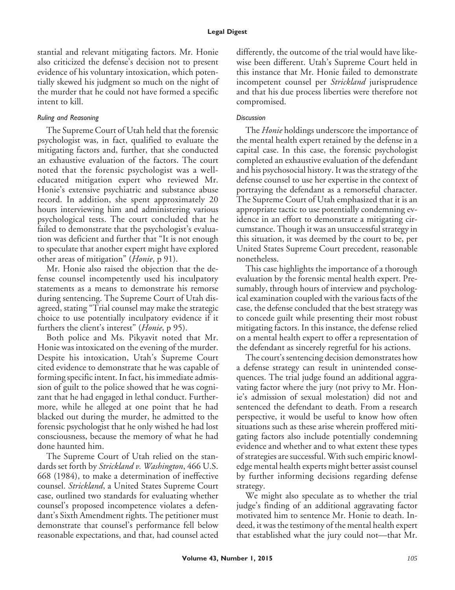stantial and relevant mitigating factors. Mr. Honie also criticized the defense's decision not to present evidence of his voluntary intoxication, which potentially skewed his judgment so much on the night of the murder that he could not have formed a specific intent to kill.

## *Ruling and Reasoning*

The Supreme Court of Utah held that the forensic psychologist was, in fact, qualified to evaluate the mitigating factors and, further, that she conducted an exhaustive evaluation of the factors. The court noted that the forensic psychologist was a welleducated mitigation expert who reviewed Mr. Honie's extensive psychiatric and substance abuse record. In addition, she spent approximately 20 hours interviewing him and administering various psychological tests. The court concluded that he failed to demonstrate that the psychologist's evaluation was deficient and further that "It is not enough to speculate that another expert might have explored other areas of mitigation" (*Honie*, p 91).

Mr. Honie also raised the objection that the defense counsel incompetently used his inculpatory statements as a means to demonstrate his remorse during sentencing. The Supreme Court of Utah disagreed, stating "Trial counsel may make the strategic choice to use potentially inculpatory evidence if it furthers the client's interest" (*Honie*, p 95).

Both police and Ms. Pikyavit noted that Mr. Honie was intoxicated on the evening of the murder. Despite his intoxication, Utah's Supreme Court cited evidence to demonstrate that he was capable of forming specific intent. In fact, his immediate admission of guilt to the police showed that he was cognizant that he had engaged in lethal conduct. Furthermore, while he alleged at one point that he had blacked out during the murder, he admitted to the forensic psychologist that he only wished he had lost consciousness, because the memory of what he had done haunted him.

The Supreme Court of Utah relied on the standards set forth by *Strickland v. Washington*, 466 U.S. 668 (1984), to make a determination of ineffective counsel. *Strickland*, a United States Supreme Court case, outlined two standards for evaluating whether counsel's proposed incompetence violates a defendant's Sixth Amendment rights. The petitioner must demonstrate that counsel's performance fell below reasonable expectations, and that, had counsel acted

differently, the outcome of the trial would have likewise been different. Utah's Supreme Court held in this instance that Mr. Honie failed to demonstrate incompetent counsel per *Strickland* jurisprudence and that his due process liberties were therefore not compromised.

## *Discussion*

The *Honie* holdings underscore the importance of the mental health expert retained by the defense in a capital case. In this case, the forensic psychologist completed an exhaustive evaluation of the defendant and his psychosocial history. It was the strategy of the defense counsel to use her expertise in the context of portraying the defendant as a remorseful character. The Supreme Court of Utah emphasized that it is an appropriate tactic to use potentially condemning evidence in an effort to demonstrate a mitigating circumstance. Though it was an unsuccessful strategy in this situation, it was deemed by the court to be, per United States Supreme Court precedent, reasonable nonetheless.

This case highlights the importance of a thorough evaluation by the forensic mental health expert. Presumably, through hours of interview and psychological examination coupled with the various facts of the case, the defense concluded that the best strategy was to concede guilt while presenting their most robust mitigating factors. In this instance, the defense relied on a mental health expert to offer a representation of the defendant as sincerely regretful for his actions.

The court's sentencing decision demonstrates how a defense strategy can result in unintended consequences. The trial judge found an additional aggravating factor where the jury (not privy to Mr. Honie's admission of sexual molestation) did not and sentenced the defendant to death. From a research perspective, it would be useful to know how often situations such as these arise wherein proffered mitigating factors also include potentially condemning evidence and whether and to what extent these types of strategies are successful. With such empiric knowledge mental health experts might better assist counsel by further informing decisions regarding defense strategy.

We might also speculate as to whether the trial judge's finding of an additional aggravating factor motivated him to sentence Mr. Honie to death. Indeed, it was the testimony of the mental health expert that established what the jury could not—that Mr.